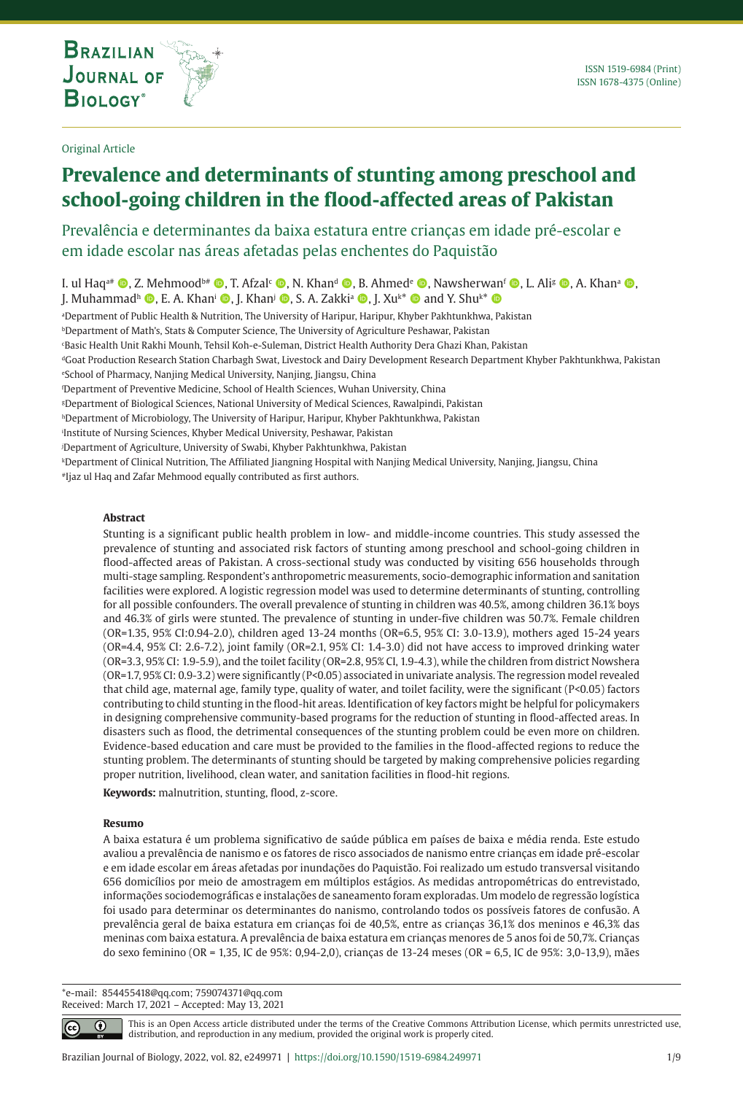**THE INTERNATIONAL JOURNAL ON GLOBAL BIODIVERSITY AND ENVIRONMENT**

Original Article

# **Prevalence and determinants of stunting among preschool and school-going children in the flood-affected areas of Pakistan**

## Prevalência e determinantes da baixa estatura entre crianças em idade pré-escolar e em idade escolar nas áreas afetadas pelas enchentes do Paquistão

I. ul Haq<sup>a#</sup> (D, Z. Mehmood<sup>b#</sup> (D, T. Afzal<sup>c</sup> (D, N. Khan<sup>a</sup> (D, B. Ahmede (D, Nawsherwanf (D, L. Alis (D, A. Khana (D, J. Muhammadʰ (, E. A. Khan<sup>i</sup> (, J. Khan<sup>j</sup> (, S. A. Zakkiª (, J. Xuk\* (, and Y. Shu<sup>k\*</sup> ()

a Department of Public Health & Nutrition, The University of Haripur, Haripur, Khyber Pakhtunkhwa, Pakistan

*bDepartment of Math's, Stats & Computer Science, The University of Agriculture Peshawar, Pakistan* 

c Basic Health Unit Rakhi Mounh, Tehsil Koh-e-Suleman, District Health Authority Dera Ghazi Khan, Pakistan

dGoat Production Research Station Charbagh Swat, Livestock and Dairy Development Research Department Khyber Pakhtunkhwa, Pakistan e School of Pharmacy, Nanjing Medical University, Nanjing, Jiangsu, China

'Department of Preventive Medicine, School of Health Sciences, Wuhan University, China

g Department of Biological Sciences, National University of Medical Sciences, Rawalpindi, Pakistan

hDepartment of Microbiology, The University of Haripur, Haripur, Khyber Pakhtunkhwa, Pakistan

i Institute of Nursing Sciences, Khyber Medical University, Peshawar, Pakistan

j Department of Agriculture, University of Swabi, Khyber Pakhtunkhwa, Pakistan

k Department of Clinical Nutrition, The Affiliated Jiangning Hospital with Nanjing Medical University, Nanjing, Jiangsu, China

#Ijaz ul Haq and Zafar Mehmood equally contributed as first authors.

#### **Abstract**

Stunting is a significant public health problem in low- and middle-income countries. This study assessed the prevalence of stunting and associated risk factors of stunting among preschool and school-going children in flood-affected areas of Pakistan. A cross-sectional study was conducted by visiting 656 households through multi-stage sampling. Respondent's anthropometric measurements, socio-demographic information and sanitation facilities were explored. A logistic regression model was used to determine determinants of stunting, controlling for all possible confounders. The overall prevalence of stunting in children was 40.5%, among children 36.1% boys and 46.3% of girls were stunted. The prevalence of stunting in under-five children was 50.7%. Female children (OR=1.35, 95% CI:0.94-2.0), children aged 13-24 months (OR=6.5, 95% CI: 3.0-13.9), mothers aged 15-24 years (OR=4.4, 95% CI: 2.6-7.2), joint family (OR=2.1, 95% CI: 1.4-3.0) did not have access to improved drinking water (OR=3.3, 95% CI: 1.9-5.9), and the toilet facility (OR=2.8, 95% CI, 1.9-4.3), while the children from district Nowshera (OR=1.7, 95% CI: 0.9-3.2) were significantly (P<0.05) associated in univariate analysis. The regression model revealed that child age, maternal age, family type, quality of water, and toilet facility, were the significant (P<0.05) factors contributing to child stunting in the flood-hit areas. Identification of key factors might be helpful for policymakers in designing comprehensive community-based programs for the reduction of stunting in flood-affected areas. In disasters such as flood, the detrimental consequences of the stunting problem could be even more on children. Evidence-based education and care must be provided to the families in the flood-affected regions to reduce the stunting problem. The determinants of stunting should be targeted by making comprehensive policies regarding proper nutrition, livelihood, clean water, and sanitation facilities in flood-hit regions.

**Keywords:** malnutrition, stunting, flood, z-score.

#### **Resumo**

A baixa estatura é um problema significativo de saúde pública em países de baixa e média renda. Este estudo avaliou a prevalência de nanismo e os fatores de risco associados de nanismo entre crianças em idade pré-escolar e em idade escolar em áreas afetadas por inundações do Paquistão. Foi realizado um estudo transversal visitando 656 domicílios por meio de amostragem em múltiplos estágios. As medidas antropométricas do entrevistado, informações sociodemográficas e instalações de saneamento foram exploradas. Um modelo de regressão logística foi usado para determinar os determinantes do nanismo, controlando todos os possíveis fatores de confusão. A prevalência geral de baixa estatura em crianças foi de 40,5%, entre as crianças 36,1% dos meninos e 46,3% das meninas com baixa estatura. A prevalência de baixa estatura em crianças menores de 5 anos foi de 50,7%. Crianças do sexo feminino (OR = 1,35, IC de 95%: 0,94-2,0), crianças de 13-24 meses (OR = 6,5, IC de 95%: 3,0-13,9), mães

\*e-mail: 854455418@qq.com; 759074371@qq.com Received: March 17, 2021 – Accepted: May 13, 2021

⋒

This is an Open Access article distributed under the terms of the Creative Commons Attribution License, which permits unrestricted use, distribution, and reproduction in any medium, provided the original work is properly cited.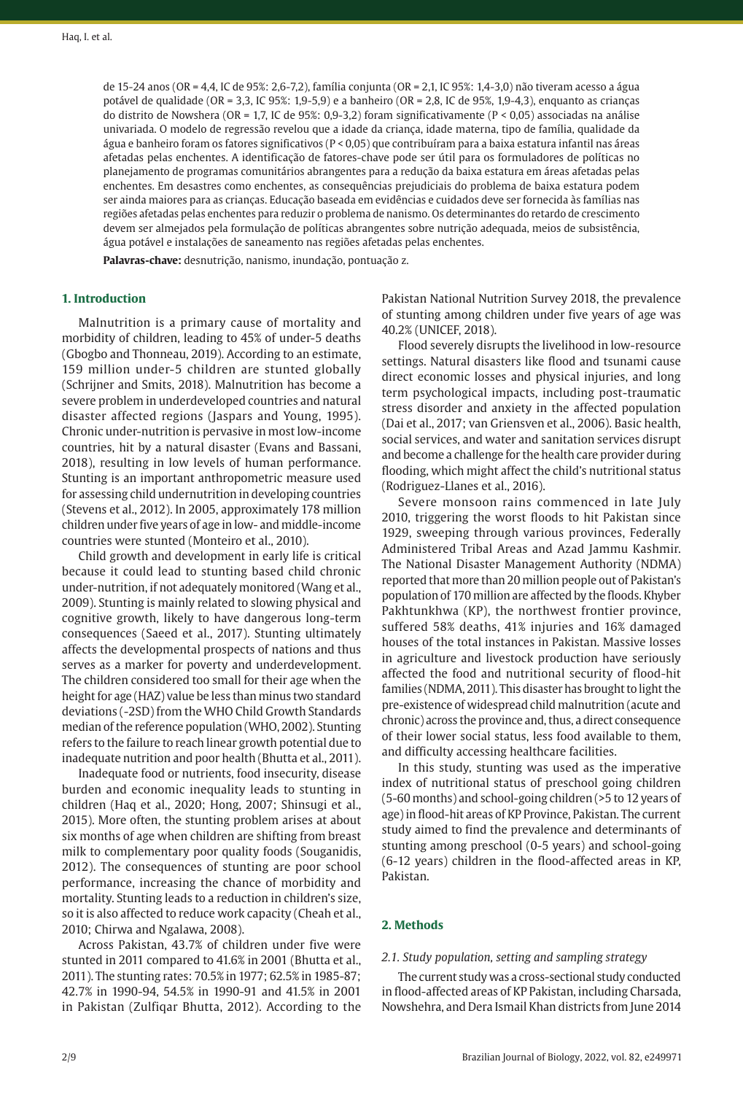de 15-24 anos (OR = 4,4, IC de 95%: 2,6-7,2), família conjunta (OR = 2,1, IC 95%: 1,4-3,0) não tiveram acesso a água potável de qualidade (OR = 3,3, IC 95%: 1,9-5,9) e a banheiro (OR = 2,8, IC de 95%, 1,9-4,3), enquanto as crianças do distrito de Nowshera (OR = 1,7, IC de 95%: 0,9-3,2) foram significativamente (P < 0,05) associadas na análise univariada. O modelo de regressão revelou que a idade da criança, idade materna, tipo de família, qualidade da água e banheiro foram os fatores significativos (P < 0,05) que contribuíram para a baixa estatura infantil nas áreas afetadas pelas enchentes. A identificação de fatores-chave pode ser útil para os formuladores de políticas no planejamento de programas comunitários abrangentes para a redução da baixa estatura em áreas afetadas pelas enchentes. Em desastres como enchentes, as consequências prejudiciais do problema de baixa estatura podem ser ainda maiores para as crianças. Educação baseada em evidências e cuidados deve ser fornecida às famílias nas regiões afetadas pelas enchentes para reduzir o problema de nanismo. Os determinantes do retardo de crescimento devem ser almejados pela formulação de políticas abrangentes sobre nutrição adequada, meios de subsistência, água potável e instalações de saneamento nas regiões afetadas pelas enchentes.

**Palavras-chave:** desnutrição, nanismo, inundação, pontuação z.

## **1. Introduction**

Malnutrition is a primary cause of mortality and morbidity of children, leading to 45% of under-5 deaths (Gbogbo and Thonneau, 2019). According to an estimate, 159 million under-5 children are stunted globally (Schrijner and Smits, 2018). Malnutrition has become a severe problem in underdeveloped countries and natural disaster affected regions (Jaspars and Young, 1995). Chronic under-nutrition is pervasive in most low-income countries, hit by a natural disaster (Evans and Bassani, 2018), resulting in low levels of human performance. Stunting is an important anthropometric measure used for assessing child undernutrition in developing countries (Stevens et al., 2012). In 2005, approximately 178 million children under five years of age in low- and middle-income countries were stunted (Monteiro et al., 2010).

Child growth and development in early life is critical because it could lead to stunting based child chronic under-nutrition, if not adequately monitored (Wang et al., 2009). Stunting is mainly related to slowing physical and cognitive growth, likely to have dangerous long-term consequences (Saeed et al., 2017). Stunting ultimately affects the developmental prospects of nations and thus serves as a marker for poverty and underdevelopment. The children considered too small for their age when the height for age (HAZ) value be less than minus two standard deviations (-2SD) from the WHO Child Growth Standards median of the reference population (WHO, 2002). Stunting refers to the failure to reach linear growth potential due to inadequate nutrition and poor health (Bhutta et al., 2011).

Inadequate food or nutrients, food insecurity, disease burden and economic inequality leads to stunting in children (Haq et al., 2020; Hong, 2007; Shinsugi et al., 2015). More often, the stunting problem arises at about six months of age when children are shifting from breast milk to complementary poor quality foods (Souganidis, 2012). The consequences of stunting are poor school performance, increasing the chance of morbidity and mortality. Stunting leads to a reduction in children's size, so it is also affected to reduce work capacity (Cheah et al., 2010; Chirwa and Ngalawa, 2008).

Across Pakistan, 43.7% of children under five were stunted in 2011 compared to 41.6% in 2001 (Bhutta et al., 2011). The stunting rates: 70.5% in 1977; 62.5% in 1985-87; 42.7% in 1990-94, 54.5% in 1990-91 and 41.5% in 2001 in Pakistan (Zulfiqar Bhutta, 2012). According to the

Pakistan National Nutrition Survey 2018, the prevalence of stunting among children under five years of age was 40.2% (UNICEF, 2018).

Flood severely disrupts the livelihood in low-resource settings. Natural disasters like flood and tsunami cause direct economic losses and physical injuries, and long term psychological impacts, including post-traumatic stress disorder and anxiety in the affected population (Dai et al., 2017; van Griensven et al., 2006). Basic health, social services, and water and sanitation services disrupt and become a challenge for the health care provider during flooding, which might affect the child's nutritional status (Rodriguez-Llanes et al., 2016).

Severe monsoon rains commenced in late July 2010, triggering the worst floods to hit Pakistan since 1929, sweeping through various provinces, Federally Administered Tribal Areas and Azad Jammu Kashmir. The National Disaster Management Authority (NDMA) reported that more than 20 million people out of Pakistan's population of 170 million are affected by the floods. Khyber Pakhtunkhwa (KP), the northwest frontier province, suffered 58% deaths, 41% injuries and 16% damaged houses of the total instances in Pakistan. Massive losses in agriculture and livestock production have seriously affected the food and nutritional security of flood-hit families (NDMA, 2011). This disaster has brought to light the pre-existence of widespread child malnutrition (acute and chronic) across the province and, thus, a direct consequence of their lower social status, less food available to them, and difficulty accessing healthcare facilities.

In this study, stunting was used as the imperative index of nutritional status of preschool going children (5-60 months) and school-going children (>5 to 12 years of age) in flood-hit areas of KP Province, Pakistan. The current study aimed to find the prevalence and determinants of stunting among preschool (0-5 years) and school-going (6-12 years) children in the flood-affected areas in KP, Pakistan.

## **2. Methods**

#### *2.1. Study population, setting and sampling strategy*

The current study was a cross-sectional study conducted in flood-affected areas of KP Pakistan, including Charsada, Nowshehra, and Dera Ismail Khan districts from June 2014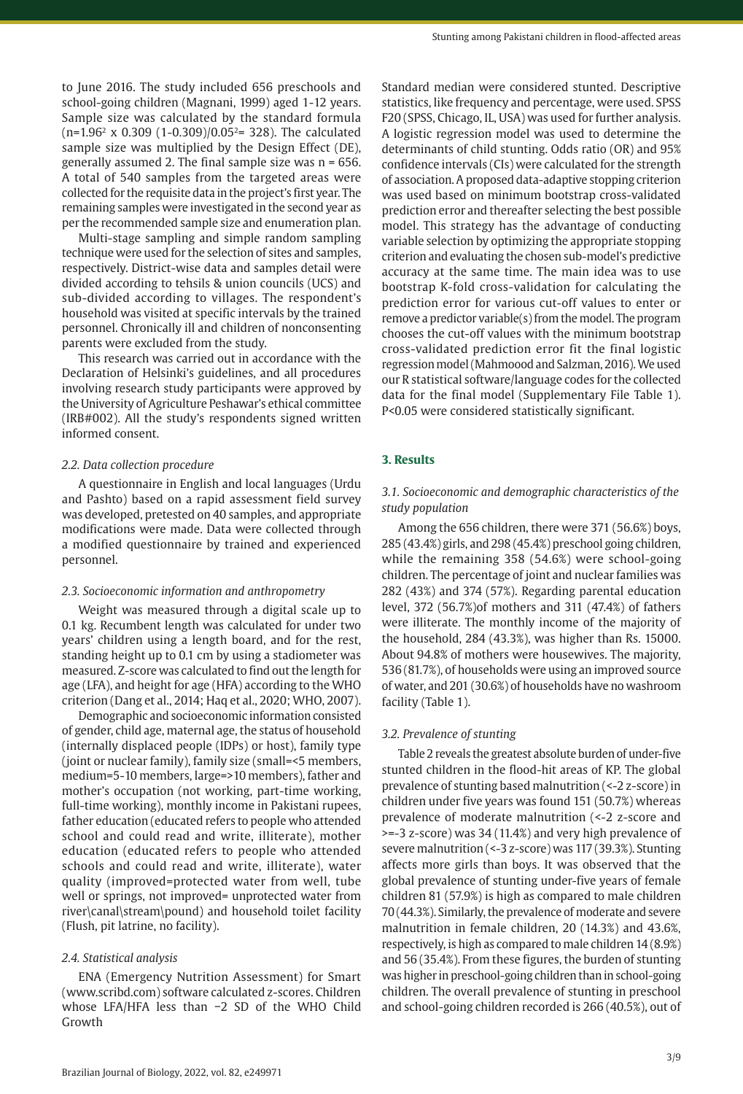to June 2016. The study included 656 preschools and school-going children (Magnani, 1999) aged 1-12 years. Sample size was calculated by the standard formula (n=1.96<sup>2</sup> x 0.309 (1-0.309)/0.052= 328). The calculated sample size was multiplied by the Design Effect (DE), generally assumed 2. The final sample size was n = 656. A total of 540 samples from the targeted areas were collected for the requisite data in the project's first year. The remaining samples were investigated in the second year as per the recommended sample size and enumeration plan.

Multi-stage sampling and simple random sampling technique were used for the selection of sites and samples, respectively. District-wise data and samples detail were divided according to tehsils & union councils (UCS) and sub-divided according to villages. The respondent's household was visited at specific intervals by the trained personnel. Chronically ill and children of nonconsenting parents were excluded from the study.

This research was carried out in accordance with the Declaration of Helsinki's guidelines, and all procedures involving research study participants were approved by the University of Agriculture Peshawar's ethical committee (IRB#002). All the study's respondents signed written informed consent.

#### *2.2. Data collection procedure*

A questionnaire in English and local languages (Urdu and Pashto) based on a rapid assessment field survey was developed, pretested on 40 samples, and appropriate modifications were made. Data were collected through a modified questionnaire by trained and experienced personnel.

#### *2.3. Socioeconomic information and anthropometry*

Weight was measured through a digital scale up to 0.1 kg. Recumbent length was calculated for under two years' children using a length board, and for the rest, standing height up to 0.1 cm by using a stadiometer was measured. Z-score was calculated to find out the length for age (LFA), and height for age (HFA) according to the WHO criterion (Dang et al., 2014; Haq et al., 2020; WHO, 2007).

Demographic and socioeconomic information consisted of gender, child age, maternal age, the status of household (internally displaced people (IDPs) or host), family type (joint or nuclear family), family size (small=<5 members, medium=5-10 members, large=>10 members), father and mother's occupation (not working, part-time working, full-time working), monthly income in Pakistani rupees, father education (educated refers to people who attended school and could read and write, illiterate), mother education (educated refers to people who attended schools and could read and write, illiterate), water quality (improved=protected water from well, tube well or springs, not improved= unprotected water from river\canal\stream\pound) and household toilet facility (Flush, pit latrine, no facility).

#### *2.4. Statistical analysis*

ENA (Emergency Nutrition Assessment) for Smart (www.scribd.com) software calculated z-scores. Children whose LFA/HFA less than −2 SD of the WHO Child Growth

Standard median were considered stunted. Descriptive statistics, like frequency and percentage, were used. SPSS F20 (SPSS, Chicago, IL, USA) was used for further analysis. A logistic regression model was used to determine the determinants of child stunting. Odds ratio (OR) and 95% confidence intervals (CIs) were calculated for the strength of association. A proposed data-adaptive stopping criterion was used based on minimum bootstrap cross-validated prediction error and thereafter selecting the best possible model. This strategy has the advantage of conducting variable selection by optimizing the appropriate stopping criterion and evaluating the chosen sub-model's predictive accuracy at the same time. The main idea was to use bootstrap K-fold cross-validation for calculating the prediction error for various cut-off values to enter or remove a predictor variable(s) from the model. The program chooses the cut-off values with the minimum bootstrap cross-validated prediction error fit the final logistic regression model (Mahmoood and Salzman, 2016). We used our R statistical software/language codes for the collected data for the final model (Supplementary File Table 1). P<0.05 were considered statistically significant.

## **3. Results**

## *3.1. Socioeconomic and demographic characteristics of the study population*

Among the 656 children, there were 371 (56.6%) boys, 285 (43.4%) girls, and 298 (45.4%) preschool going children, while the remaining 358 (54.6%) were school-going children. The percentage of joint and nuclear families was 282 (43%) and 374 (57%). Regarding parental education level, 372 (56.7%)of mothers and 311 (47.4%) of fathers were illiterate. The monthly income of the majority of the household, 284 (43.3%), was higher than Rs. 15000. About 94.8% of mothers were housewives. The majority, 536 (81.7%), of households were using an improved source of water, and 201 (30.6%) of households have no washroom facility (Table 1).

## *3.2. Prevalence of stunting*

Table 2 reveals the greatest absolute burden of under-five stunted children in the flood-hit areas of KP. The global prevalence of stunting based malnutrition (<-2 z-score) in children under five years was found 151 (50.7%) whereas prevalence of moderate malnutrition (<-2 z-score and >=-3 z-score) was 34 (11.4%) and very high prevalence of severe malnutrition (<-3 z-score) was 117 (39.3%). Stunting affects more girls than boys. It was observed that the global prevalence of stunting under-five years of female children 81 (57.9%) is high as compared to male children 70 (44.3%). Similarly, the prevalence of moderate and severe malnutrition in female children, 20 (14.3%) and 43.6%, respectively, is high as compared to male children 14 (8.9%) and 56 (35.4%). From these figures, the burden of stunting was higher in preschool-going children than in school-going children. The overall prevalence of stunting in preschool and school-going children recorded is 266 (40.5%), out of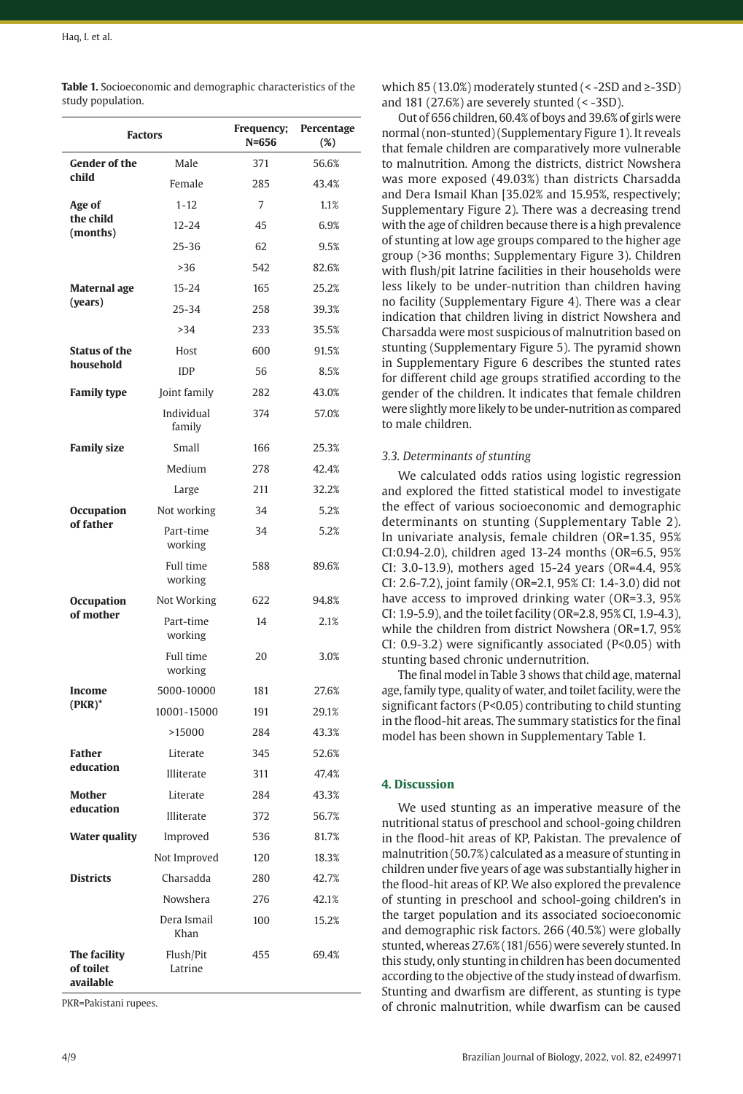| <b>Factors</b>                         |                            | Frequency;<br>$N = 656$ | Percentage<br>(%) |  |
|----------------------------------------|----------------------------|-------------------------|-------------------|--|
| <b>Gender of the</b>                   | Male                       | 371                     | 56.6%             |  |
| child                                  | Female                     | 285                     | 43.4%             |  |
| Age of                                 | $1 - 12$                   | 7                       | 1.1%              |  |
| the child<br>(months)                  | $12 - 24$                  | 45                      | 6.9%              |  |
|                                        | 25-36                      | 62                      | 9.5%              |  |
|                                        | >36                        | 542                     | 82.6%             |  |
| <b>Maternal</b> age                    | $15 - 24$                  | 165                     | 25.2%             |  |
| (years)                                | 25-34<br>258               |                         | 39.3%             |  |
|                                        | >34                        | 233                     | 35.5%             |  |
| <b>Status of the</b>                   | Host                       | 600                     | 91.5%             |  |
| household                              | <b>IDP</b>                 | 56                      | 8.5%              |  |
| <b>Family type</b>                     | Joint family               | 282                     | 43.0%             |  |
|                                        | Individual<br>family       | 374                     | 57.0%             |  |
| <b>Family size</b>                     | Small                      | 166                     | 25.3%             |  |
|                                        | Medium                     | 278                     | 42.4%             |  |
|                                        | Large                      | 211                     | 32.2%             |  |
| <b>Occupation</b>                      | Not working                | 34                      | 5.2%              |  |
| of father                              | Part-time<br>34<br>working |                         | 5.2%              |  |
|                                        | Full time<br>working       | 588                     |                   |  |
| <b>Occupation</b>                      | Not Working                | 622                     | 94.8%             |  |
| of mother                              | Part-time<br>working       | 14                      | 2.1%              |  |
|                                        | Full time<br>working       | 20                      |                   |  |
| Income                                 | 5000-10000                 | 181                     | 27.6%             |  |
| $(PKR)^*$                              | 10001-15000                | 191                     | 29.1%             |  |
|                                        | >15000                     | 284                     | 43.3%             |  |
| Father                                 | Literate                   | 345                     | 52.6%             |  |
| education                              | Illiterate                 | 311                     | 47.4%             |  |
| <b>Mother</b>                          | Literate                   | 284                     | 43.3%             |  |
| education                              | Illiterate                 | 372                     | 56.7%             |  |
| <b>Water quality</b>                   | Improved                   | 536                     | 81.7%             |  |
|                                        | Not Improved               | 120                     | 18.3%             |  |
| <b>Districts</b>                       | Charsadda                  | 280                     | 42.7%             |  |
|                                        | Nowshera                   | 276                     | 42.1%             |  |
|                                        | Dera Ismail<br>Khan        | 100                     | 15.2%             |  |
| The facility<br>of toilet<br>available | Flush/Pit<br>Latrine       | 455                     | 69.4%             |  |

**Table 1.** Socioeconomic and demographic characteristics of the study population.

PKR=Pakistani rupees.

which 85 (13.0%) moderately stunted (< -2SD and ≥-3SD) and 181 (27.6%) are severely stunted  $(< -3SD)$ .

Out of 656 children, 60.4% of boys and 39.6% of girls were normal (non-stunted) (Supplementary Figure 1). It reveals that female children are comparatively more vulnerable to malnutrition. Among the districts, district Nowshera was more exposed (49.03%) than districts Charsadda and Dera Ismail Khan [35.02% and 15.95%, respectively; Supplementary Figure 2). There was a decreasing trend with the age of children because there is a high prevalence of stunting at low age groups compared to the higher age group (>36 months; Supplementary Figure 3). Children with flush/pit latrine facilities in their households were less likely to be under-nutrition than children having no facility (Supplementary Figure 4). There was a clear indication that children living in district Nowshera and Charsadda were most suspicious of malnutrition based on stunting (Supplementary Figure 5). The pyramid shown in Supplementary Figure 6 describes the stunted rates for different child age groups stratified according to the gender of the children. It indicates that female children were slightly more likely to be under-nutrition as compared to male children.

## *3.3. Determinants of stunting*

We calculated odds ratios using logistic regression and explored the fitted statistical model to investigate the effect of various socioeconomic and demographic determinants on stunting (Supplementary Table 2). In univariate analysis, female children (OR=1.35, 95% CI:0.94-2.0), children aged 13-24 months (OR=6.5, 95% CI: 3.0-13.9), mothers aged 15-24 years (OR=4.4, 95% CI: 2.6-7.2), joint family (OR=2.1, 95% CI: 1.4-3.0) did not have access to improved drinking water (OR=3.3, 95% CI: 1.9-5.9), and the toilet facility (OR=2.8, 95% CI, 1.9-4.3), while the children from district Nowshera (OR=1.7, 95% CI: 0.9-3.2) were significantly associated (P<0.05) with stunting based chronic undernutrition.

The final model in Table 3 shows that child age, maternal age, family type, quality of water, and toilet facility, were the significant factors (P<0.05) contributing to child stunting in the flood-hit areas. The summary statistics for the final model has been shown in Supplementary Table 1.

## **4. Discussion**

We used stunting as an imperative measure of the nutritional status of preschool and school-going children in the flood-hit areas of KP, Pakistan. The prevalence of malnutrition (50.7%) calculated as a measure of stunting in children under five years of age was substantially higher in the flood-hit areas of KP. We also explored the prevalence of stunting in preschool and school-going children's in the target population and its associated socioeconomic and demographic risk factors. 266 (40.5%) were globally stunted, whereas 27.6% (181/656) were severely stunted. In this study, only stunting in children has been documented according to the objective of the study instead of dwarfism. Stunting and dwarfism are different, as stunting is type of chronic malnutrition, while dwarfism can be caused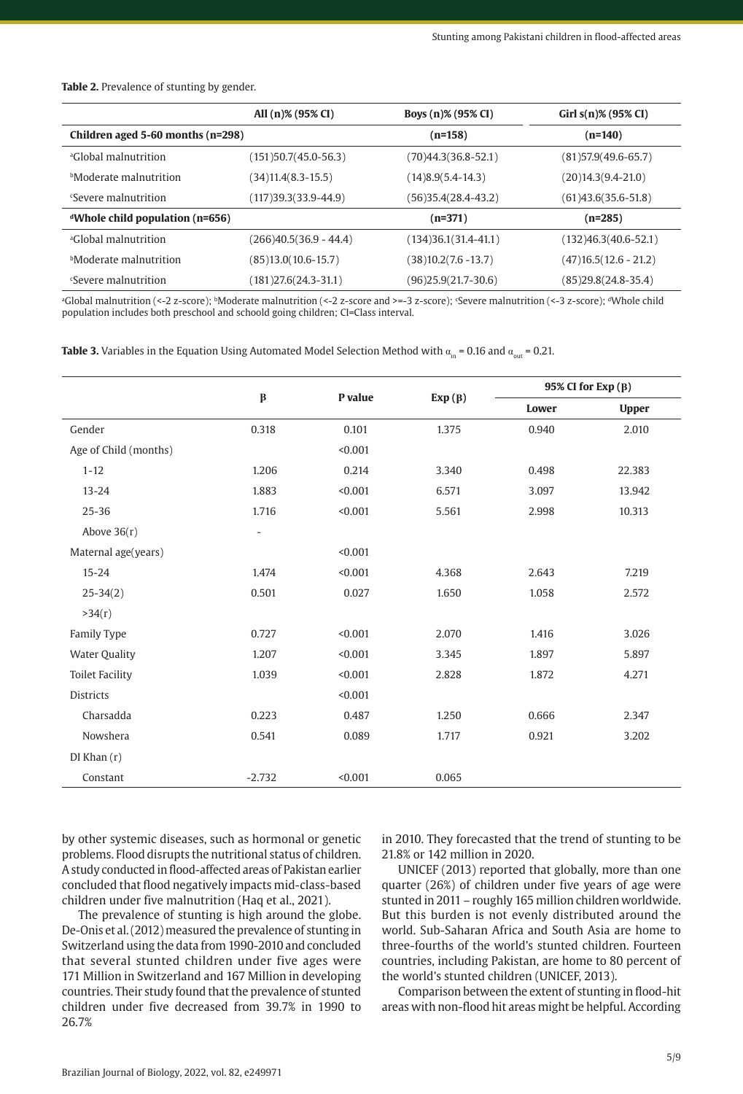|  | . |  |
|--|---|--|
|  |   |  |
|  |   |  |

by other systemic diseases, such as hormonal or genetic problems. Flood disrupts the nutritional status of children. A study conducted in flood-affected areas of Pakistan earlier concluded that flood negatively impacts mid-class-based children under five malnutrition (Haq et al., 2021).

The prevalence of stunting is high around the globe. De-Onis et al. (2012) measured the prevalence of stunting in Switzerland using the data from 1990-2010 and concluded that several stunted children under five ages were 171 Million in Switzerland and 167 Million in developing countries. Their study found that the prevalence of stunted children under five decreased from 39.7% in 1990 to 26.7%

in 2010. They forecasted that the trend of stunting to be 21.8% or 142 million in 2020.

UNICEF (2013) reported that globally, more than one quarter (26%) of children under five years of age were stunted in 2011 – roughly 165 million children worldwide. But this burden is not evenly distributed around the world. Sub-Saharan Africa and South Asia are home to three-fourths of the world's stunted children. Fourteen countries, including Pakistan, are home to 80 percent of the world's stunted children (UNICEF, 2013).

Comparison between the extent of stunting in flood-hit areas with non-flood hit areas might be helpful. According

5/9

| <b>Table 2.</b> Prevalence of stunting by gender. |  |
|---------------------------------------------------|--|
|---------------------------------------------------|--|

|                                         | All (n)% (95% CI)        | Boys (n)% (95% CI)     | Girl $s(n)$ % (95% CI)      |
|-----------------------------------------|--------------------------|------------------------|-----------------------------|
| Children aged 5-60 months (n=298)       |                          | $(n=158)$              | $(n=140)$                   |
| <sup>a</sup> Global malnutrition        | $(151)50.7(45.0-56.3)$   | $(70)44.3(36.8-52.1)$  | $(81)$ 57.9 $(49.6 - 65.7)$ |
| <b>Moderate malnutrition</b>            | $(34)11.4(8.3-15.5)$     | $(14)8.9(5.4-14.3)$    | $(20)14.3(9.4-21.0)$        |
| <i>Severe</i> malnutrition              | $(117)39.3(33.9-44.9)$   | $(56)35.4(28.4-43.2)$  | $(61)43.6(35.6-51.8)$       |
| <i>d</i> Whole child population (n=656) |                          | $(n=371)$              | $(n=285)$                   |
| <sup>a</sup> Global malnutrition        | $(266)40.5(36.9 - 44.4)$ | $(134)36.1(31.4-41.1)$ | $(132)46.3(40.6-52.1)$      |
| <sup>b</sup> Moderate malnutrition      | $(85)13.0(10.6-15.7)$    | $(38)10.2(7.6 - 13.7)$ | $(47)$ 16.5 $(12.6 - 21.2)$ |
| <sup>c</sup> Severe malnutrition        | $(181)27.6(24.3-31.1)$   | $(96)25.9(21.7-30.6)$  | $(85)29.8(24.8-35.4)$       |

a Global malnutrition (<-2 z-score); bModerate malnutrition (<-2 z-score and >=-3 z-score); c Severe malnutrition (<-3 z-score); dWhole child population includes both preschool and schoold going children; CI=Class interval.

**Table 3.** Variables in the Equation Using Automated Model Selection Method with  $\alpha_{\text{in}} = 0.16$  and  $\alpha_{\text{out}} = 0.21$ .

|                        |                          | P value |        | $95\%$ CI for Exp $(B)$ |              |
|------------------------|--------------------------|---------|--------|-------------------------|--------------|
|                        | $\pmb{\beta}$            |         | Exp(B) | Lower                   | <b>Upper</b> |
| Gender                 | 0.318                    | 0.101   | 1.375  | 0.940                   | 2.010        |
| Age of Child (months)  |                          | < 0.001 |        |                         |              |
| $1 - 12$               | 1.206                    | 0.214   | 3.340  | 0.498                   | 22.383       |
| $13 - 24$              | 1.883                    | < 0.001 | 6.571  | 3.097                   | 13.942       |
| $25 - 36$              | 1.716                    | < 0.001 | 5.561  | 2.998                   | 10.313       |
| Above $36(r)$          | $\overline{\phantom{a}}$ |         |        |                         |              |
| Maternal age(years)    |                          | < 0.001 |        |                         |              |
| $15 - 24$              | 1.474                    | < 0.001 | 4.368  | 2.643                   | 7.219        |
| $25 - 34(2)$           | 0.501                    | 0.027   | 1.650  | 1.058                   | 2.572        |
| >34(r)                 |                          |         |        |                         |              |
| Family Type            | 0.727                    | < 0.001 | 2.070  | 1.416                   | 3.026        |
| <b>Water Quality</b>   | 1.207                    | < 0.001 | 3.345  | 1.897                   | 5.897        |
| <b>Toilet Facility</b> | 1.039                    | < 0.001 | 2.828  | 1.872                   | 4.271        |
| <b>Districts</b>       |                          | < 0.001 |        |                         |              |
| Charsadda              | 0.223                    | 0.487   | 1.250  | 0.666                   | 2.347        |
| Nowshera               | 0.541                    | 0.089   | 1.717  | 0.921                   | 3.202        |
| $DI$ Khan $(r)$        |                          |         |        |                         |              |
| Constant               | $-2.732$                 | < 0.001 | 0.065  |                         |              |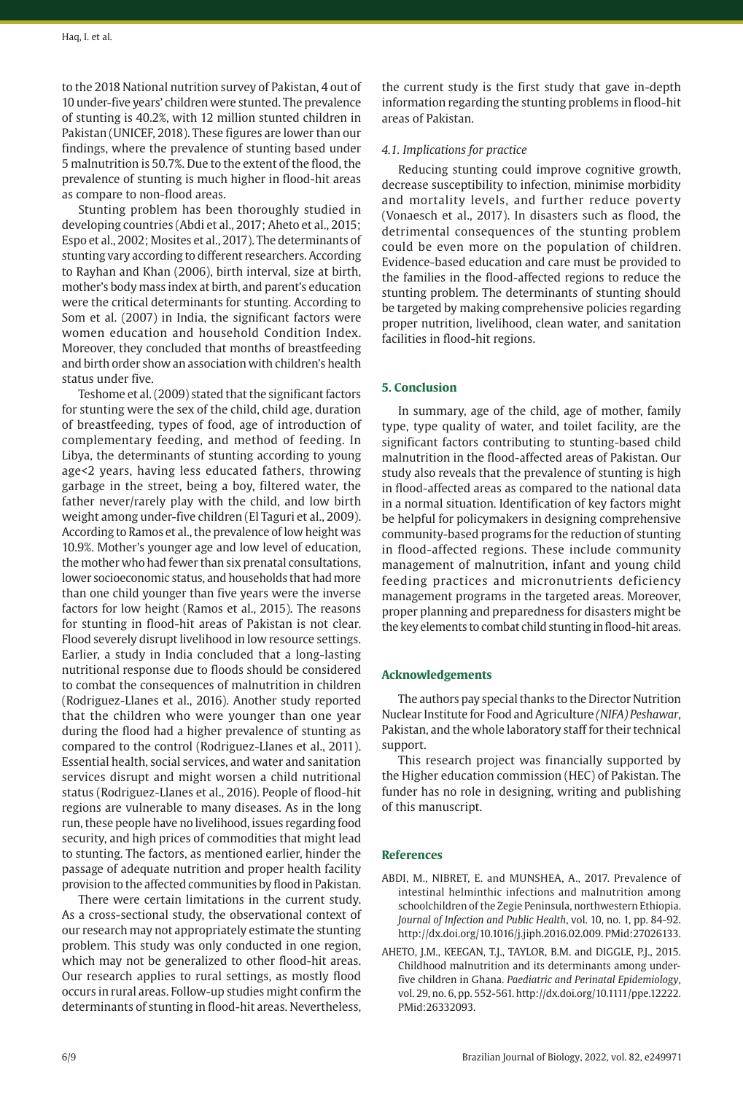to the 2018 National nutrition survey of Pakistan, 4 out of 10 under-five years' children were stunted. The prevalence of stunting is 40.2%, with 12 million stunted children in Pakistan (UNICEF, 2018). These figures are lower than our findings, where the prevalence of stunting based under 5 malnutrition is 50.7%. Due to the extent of the flood, the prevalence of stunting is much higher in flood-hit areas as compare to non-flood areas.

Stunting problem has been thoroughly studied in developing countries (Abdi et al., 2017; Aheto et al., 2015; Espo et al., 2002; Mosites et al., 2017). The determinants of stunting vary according to different researchers. According to Rayhan and Khan (2006), birth interval, size at birth, mother's body mass index at birth, and parent's education were the critical determinants for stunting. According to Som et al. (2007) in India, the significant factors were women education and household Condition Index. Moreover, they concluded that months of breastfeeding and birth order show an association with children's health status under five.

Teshome et al. (2009) stated that the significant factors for stunting were the sex of the child, child age, duration of breastfeeding, types of food, age of introduction of complementary feeding, and method of feeding. In Libya, the determinants of stunting according to young age<2 years, having less educated fathers, throwing garbage in the street, being a boy, filtered water, the father never/rarely play with the child, and low birth weight among under-five children (El Taguri et al., 2009). According to Ramos et al., the prevalence of low height was 10.9%. Mother's younger age and low level of education, the mother who had fewer than six prenatal consultations, lower socioeconomic status, and households that had more than one child younger than five years were the inverse factors for low height (Ramos et al., 2015). The reasons for stunting in flood-hit areas of Pakistan is not clear. Flood severely disrupt livelihood in low resource settings. Earlier, a study in India concluded that a long-lasting nutritional response due to floods should be considered to combat the consequences of malnutrition in children (Rodriguez-Llanes et al., 2016). Another study reported that the children who were younger than one year during the flood had a higher prevalence of stunting as compared to the control (Rodriguez-Llanes et al., 2011). Essential health, social services, and water and sanitation services disrupt and might worsen a child nutritional status (Rodriguez-Llanes et al., 2016). People of flood-hit regions are vulnerable to many diseases. As in the long run, these people have no livelihood, issues regarding food security, and high prices of commodities that might lead to stunting. The factors, as mentioned earlier, hinder the passage of adequate nutrition and proper health facility provision to the affected communities by flood in Pakistan.

There were certain limitations in the current study. As a cross-sectional study, the observational context of our research may not appropriately estimate the stunting problem. This study was only conducted in one region, which may not be generalized to other flood-hit areas. Our research applies to rural settings, as mostly flood occurs in rural areas. Follow-up studies might confirm the determinants of stunting in flood-hit areas. Nevertheless,

the current study is the first study that gave in-depth information regarding the stunting problems in flood-hit areas of Pakistan.

## *4.1. Implications for practice*

Reducing stunting could improve cognitive growth, decrease susceptibility to infection, minimise morbidity and mortality levels, and further reduce poverty (Vonaesch et al., 2017). In disasters such as flood, the detrimental consequences of the stunting problem could be even more on the population of children. Evidence-based education and care must be provided to the families in the flood-affected regions to reduce the stunting problem. The determinants of stunting should be targeted by making comprehensive policies regarding proper nutrition, livelihood, clean water, and sanitation facilities in flood-hit regions.

## **5. Conclusion**

In summary, age of the child, age of mother, family type, type quality of water, and toilet facility, are the significant factors contributing to stunting-based child malnutrition in the flood-affected areas of Pakistan. Our study also reveals that the prevalence of stunting is high in flood-affected areas as compared to the national data in a normal situation. Identification of key factors might be helpful for policymakers in designing comprehensive community-based programs for the reduction of stunting in flood-affected regions. These include community management of malnutrition, infant and young child feeding practices and micronutrients deficiency management programs in the targeted areas. Moreover, proper planning and preparedness for disasters might be the key elements to combat child stunting in flood-hit areas.

## **Acknowledgements**

The authors pay special thanks to the Director Nutrition Nuclear Institute for Food and Agriculture *(NIFA) Peshawar*, Pakistan, and the whole laboratory staff for their technical support.

This research project was financially supported by the Higher education commission (HEC) of Pakistan. The funder has no role in designing, writing and publishing of this manuscript.

#### **References**

- ABDI, M., NIBRET, E. and MUNSHEA, A., 2017. Prevalence of intestinal helminthic infections and malnutrition among schoolchildren of the Zegie Peninsula, northwestern Ethiopia. *Journal of Infection and Public Health*, vol. 10, no. 1, pp. 84-92. [http://dx.doi.org/10.1016/j.jiph.2016.02.009.](https://doi.org/10.1016/j.jiph.2016.02.009) [PMid:27026133.](https://www.ncbi.nlm.nih.gov/entrez/query.fcgi?cmd=Retrieve&db=PubMed&list_uids=27026133&dopt=Abstract)
- AHETO, J.M., KEEGAN, T.J., TAYLOR, B.M. and DIGGLE, P.J., 2015. Childhood malnutrition and its determinants among underfive children in Ghana. *Paediatric and Perinatal Epidemiology*, vol. 29, no. 6, pp. 552-561. [http://dx.doi.org/10.1111/ppe.12222](https://doi.org/10.1111/ppe.12222). [PMid:26332093.](https://www.ncbi.nlm.nih.gov/entrez/query.fcgi?cmd=Retrieve&db=PubMed&list_uids=26332093&dopt=Abstract)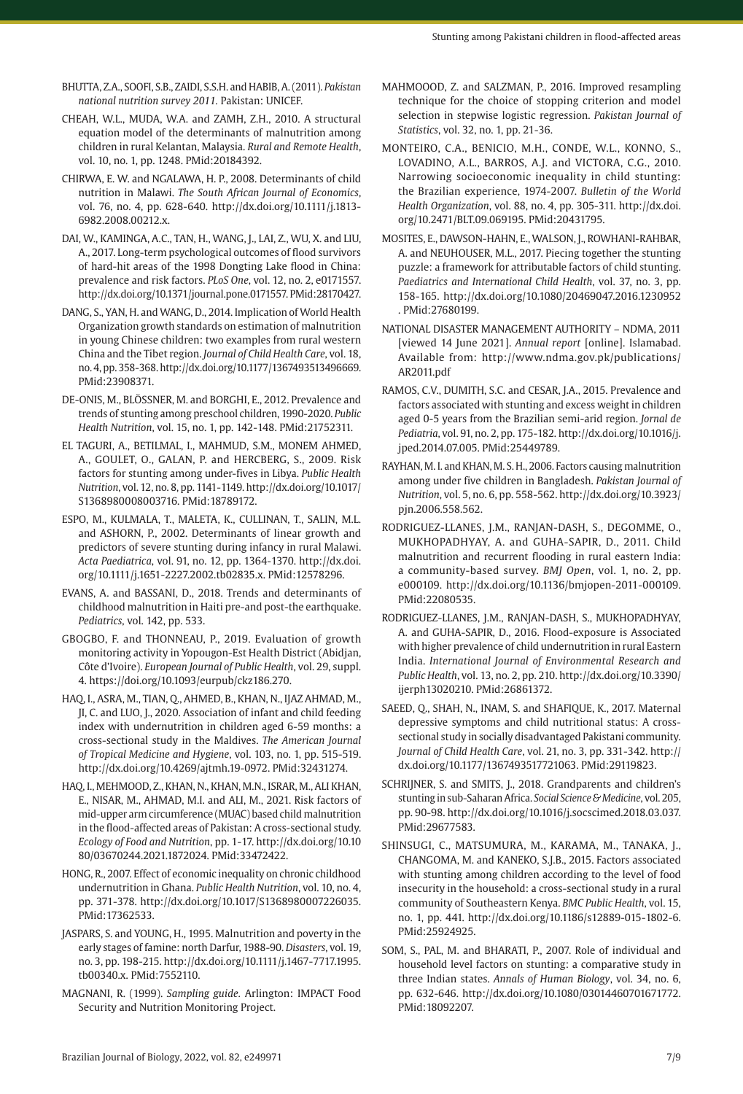- BHUTTA, Z.A., SOOFI, S.B., ZAIDI, S.S.H. and HABIB, A. (2011). *Pakistan national nutrition survey 2011.* Pakistan: UNICEF.
- CHEAH, W.L., MUDA, W.A. and ZAMH, Z.H., 2010. A structural equation model of the determinants of malnutrition among children in rural Kelantan, Malaysia. *Rural and Remote Health*, vol. 10, no. 1, pp. 1248. [PMid:20184392.](https://www.ncbi.nlm.nih.gov/entrez/query.fcgi?cmd=Retrieve&db=PubMed&list_uids=20184392&dopt=Abstract)
- CHIRWA, E. W. and NGALAWA, H. P., 2008. Determinants of child nutrition in Malawi. *The South African Journal of Economics*, vol. 76, no. 4, pp. 628-640. [http://dx.doi.org/10.1111/j.1813-](https://doi.org/10.1111/j.1813-6982.2008.00212.x) [6982.2008.00212.x](https://doi.org/10.1111/j.1813-6982.2008.00212.x).
- DAI, W., KAMINGA, A.C., TAN, H., WANG, J., LAI, Z., WU, X. and LIU, A., 2017. Long-term psychological outcomes of flood survivors of hard-hit areas of the 1998 Dongting Lake flood in China: prevalence and risk factors. *PLoS One*, vol. 12, no. 2, e0171557. [http://dx.doi.org/10.1371/journal.pone.0171557](https://doi.org/10.1371/journal.pone.0171557). [PMid:28170427.](https://www.ncbi.nlm.nih.gov/entrez/query.fcgi?cmd=Retrieve&db=PubMed&list_uids=28170427&dopt=Abstract)
- DANG, S., YAN, H. and WANG, D., 2014. Implication of World Health Organization growth standards on estimation of malnutrition in young Chinese children: two examples from rural western China and the Tibet region. *Journal of Child Health Care*, vol. 18, no. 4, pp. 358-368. [http://dx.doi.org/10.1177/1367493513496669](https://doi.org/10.1177/1367493513496669). [PMid:23908371.](https://www.ncbi.nlm.nih.gov/entrez/query.fcgi?cmd=Retrieve&db=PubMed&list_uids=23908371&dopt=Abstract)
- DE-ONIS, M., BLÖSSNER, M. and BORGHI, E., 2012. Prevalence and trends of stunting among preschool children, 1990-2020. *Public Health Nutrition*, vol. 15, no. 1, pp. 142-148[. PMid:21752311.](https://www.ncbi.nlm.nih.gov/entrez/query.fcgi?cmd=Retrieve&db=PubMed&list_uids=21752311&dopt=Abstract)
- EL TAGURI, A., BETILMAL, I., MAHMUD, S.M., MONEM AHMED, A., GOULET, O., GALAN, P. and HERCBERG, S., 2009. Risk factors for stunting among under-fives in Libya. *Public Health Nutrition*, vol. 12, no. 8, pp. 1141-1149. [http://dx.doi.org/10.1017/](https://doi.org/10.1017/S1368980008003716) [S1368980008003716](https://doi.org/10.1017/S1368980008003716)[. PMid:18789172.](https://www.ncbi.nlm.nih.gov/entrez/query.fcgi?cmd=Retrieve&db=PubMed&list_uids=18789172&dopt=Abstract)
- ESPO, M., KULMALA, T., MALETA, K., CULLINAN, T., SALIN, M.L. and ASHORN, P., 2002. Determinants of linear growth and predictors of severe stunting during infancy in rural Malawi. *Acta Paediatrica*, vol. 91, no. 12, pp. 1364-1370. [http://dx.doi.](https://doi.org/10.1111/j.1651-2227.2002.tb02835.x) [org/10.1111/j.1651-2227.2002.tb02835.x](https://doi.org/10.1111/j.1651-2227.2002.tb02835.x)[. PMid:12578296.](https://www.ncbi.nlm.nih.gov/entrez/query.fcgi?cmd=Retrieve&db=PubMed&list_uids=12578296&dopt=Abstract)
- EVANS, A. and BASSANI, D., 2018. Trends and determinants of childhood malnutrition in Haiti pre-and post-the earthquake. *Pediatrics*, vol. 142, pp. 533.
- GBOGBO, F. and THONNEAU, P., 2019. Evaluation of growth monitoring activity in Yopougon-Est Health District (Abidjan, Côte d'Ivoire). *European Journal of Public Health*, vol. 29, suppl. 4. [https://doi.org/10.1093/eurpub/ckz186.270.](https://doi.org/10.1093/eurpub/ckz186.270)
- HAQ, I., ASRA, M., TIAN, Q., AHMED, B., KHAN, N., IJAZ AHMAD, M., JI, C. and LUO, J., 2020. Association of infant and child feeding index with undernutrition in children aged 6-59 months: a cross-sectional study in the Maldives. *The American Journal of Tropical Medicine and Hygiene*, vol. 103, no. 1, pp. 515-519. [http://dx.doi.org/10.4269/ajtmh.19-0972](https://doi.org/10.4269/ajtmh.19-0972)[. PMid:32431274.](https://www.ncbi.nlm.nih.gov/entrez/query.fcgi?cmd=Retrieve&db=PubMed&list_uids=32431274&dopt=Abstract)
- HAQ, I., MEHMOOD, Z., KHAN, N., KHAN, M.N., ISRAR, M., ALI KHAN, E., NISAR, M., AHMAD, M.I. and ALI, M., 2021. Risk factors of mid-upper arm circumference (MUAC) based child malnutrition in the flood-affected areas of Pakistan: A cross-sectional study. *Ecology of Food and Nutrition*, pp. 1-17. [http://dx.doi.org/10.10](https://doi.org/10.1080/03670244.2021.1872024) [80/03670244.2021.1872024](https://doi.org/10.1080/03670244.2021.1872024). [PMid:33472422.](https://www.ncbi.nlm.nih.gov/entrez/query.fcgi?cmd=Retrieve&db=PubMed&list_uids=33472422&dopt=Abstract)
- HONG, R., 2007. Effect of economic inequality on chronic childhood undernutrition in Ghana. *Public Health Nutrition*, vol. 10, no. 4, pp. 371-378. [http://dx.doi.org/10.1017/S1368980007226035](https://doi.org/10.1017/S1368980007226035). [PMid:17362533.](https://www.ncbi.nlm.nih.gov/entrez/query.fcgi?cmd=Retrieve&db=PubMed&list_uids=17362533&dopt=Abstract)
- JASPARS, S. and YOUNG, H., 1995. Malnutrition and poverty in the early stages of famine: north Darfur, 1988-90. *Disasters*, vol. 19, no. 3, pp. 198-215. [http://dx.doi.org/10.1111/j.1467-7717.1995.](https://doi.org/10.1111/j.1467-7717.1995.tb00340.x) [tb00340.x.](https://doi.org/10.1111/j.1467-7717.1995.tb00340.x) [PMid:7552110.](https://www.ncbi.nlm.nih.gov/entrez/query.fcgi?cmd=Retrieve&db=PubMed&list_uids=7552110&dopt=Abstract)
- MAGNANI, R. (1999). *Sampling guide.* Arlington: IMPACT Food Security and Nutrition Monitoring Project.
- MAHMOOOD, Z. and SALZMAN, P., 2016. Improved resampling technique for the choice of stopping criterion and model selection in stepwise logistic regression. *Pakistan Journal of Statistics*, vol. 32, no. 1, pp. 21-36.
- MONTEIRO, C.A., BENICIO, M.H., CONDE, W.L., KONNO, S., LOVADINO, A.L., BARROS, A.J. and VICTORA, C.G., 2010. Narrowing socioeconomic inequality in child stunting: the Brazilian experience, 1974-2007. *Bulletin of the World Health Organization*, vol. 88, no. 4, pp. 305-311. [http://dx.doi.](https://doi.org/10.2471/BLT.09.069195) [org/10.2471/BLT.09.069195](https://doi.org/10.2471/BLT.09.069195)[. PMid:20431795.](https://www.ncbi.nlm.nih.gov/entrez/query.fcgi?cmd=Retrieve&db=PubMed&list_uids=20431795&dopt=Abstract)
- MOSITES, E., DAWSON-HAHN, E., WALSON, J., ROWHANI-RAHBAR, A. and NEUHOUSER, M.L., 2017. Piecing together the stunting puzzle: a framework for attributable factors of child stunting. *Paediatrics and International Child Health*, vol. 37, no. 3, pp. 158-165. [http://dx.doi.org/10.1080/20469047.2016.1230952](https://doi.org/10.1080/20469047.2016.1230952) [. PMid:27680199.](https://www.ncbi.nlm.nih.gov/entrez/query.fcgi?cmd=Retrieve&db=PubMed&list_uids=27680199&dopt=Abstract)
- NATIONAL DISASTER MANAGEMENT AUTHORITY NDMA, 2011 [viewed 14 June 2021]. *Annual report* [online]. Islamabad. Available from: http://www.ndma.gov.pk/publications/ AR2011.pdf
- RAMOS, C.V., DUMITH, S.C. and CESAR, J.A., 2015. Prevalence and factors associated with stunting and excess weight in children aged 0-5 years from the Brazilian semi-arid region. *Jornal de Pediatria*, vol. 91, no. 2, pp. 175-182. [http://dx.doi.org/10.1016/j.](https://doi.org/10.1016/j.jped.2014.07.005) [jped.2014.07.005.](https://doi.org/10.1016/j.jped.2014.07.005) [PMid:25449789.](https://www.ncbi.nlm.nih.gov/entrez/query.fcgi?cmd=Retrieve&db=PubMed&list_uids=25449789&dopt=Abstract)
- RAYHAN, M. I. and KHAN, M. S. H., 2006. Factors causing malnutrition among under five children in Bangladesh. *Pakistan Journal of Nutrition*, vol. 5, no. 6, pp. 558-562. [http://dx.doi.org/10.3923/](https://doi.org/10.3923/pjn.2006.558.562) [pjn.2006.558.562.](https://doi.org/10.3923/pjn.2006.558.562)
- RODRIGUEZ-LLANES, J.M., RANJAN-DASH, S., DEGOMME, O., MUKHOPADHYAY, A. and GUHA-SAPIR, D., 2011. Child malnutrition and recurrent flooding in rural eastern India: a community-based survey. *BMJ Open*, vol. 1, no. 2, pp. e000109. [http://dx.doi.org/10.1136/bmjopen-2011-000109](https://doi.org/10.1136/bmjopen-2011-000109). [PMid:22080535.](https://www.ncbi.nlm.nih.gov/entrez/query.fcgi?cmd=Retrieve&db=PubMed&list_uids=22080535&dopt=Abstract)
- RODRIGUEZ-LLANES, J.M., RANJAN-DASH, S., MUKHOPADHYAY, A. and GUHA-SAPIR, D., 2016. Flood-exposure is Associated with higher prevalence of child undernutrition in rural Eastern India. *International Journal of Environmental Research and Public Health*, vol. 13, no. 2, pp. 210. [http://dx.doi.org/10.3390/](https://doi.org/10.3390/ijerph13020210) [ijerph13020210.](https://doi.org/10.3390/ijerph13020210) [PMid:26861372.](https://www.ncbi.nlm.nih.gov/entrez/query.fcgi?cmd=Retrieve&db=PubMed&list_uids=26861372&dopt=Abstract)
- SAEED, Q., SHAH, N., INAM, S. and SHAFIQUE, K., 2017. Maternal depressive symptoms and child nutritional status: A crosssectional study in socially disadvantaged Pakistani community. *Journal of Child Health Care*, vol. 21, no. 3, pp. 331-342. [http://](https://doi.org/10.1177/1367493517721063) [dx.doi.org/10.1177/1367493517721063](https://doi.org/10.1177/1367493517721063)[. PMid:29119823.](https://www.ncbi.nlm.nih.gov/entrez/query.fcgi?cmd=Retrieve&db=PubMed&list_uids=29119823&dopt=Abstract)
- SCHRIJNER, S. and SMITS, J., 2018. Grandparents and children's stunting in sub-Saharan Africa. *Social Science & Medicine*, vol. 205, pp. 90-98. [http://dx.doi.org/10.1016/j.socscimed.2018.03.037](https://doi.org/10.1016/j.socscimed.2018.03.037). [PMid:29677583.](https://www.ncbi.nlm.nih.gov/entrez/query.fcgi?cmd=Retrieve&db=PubMed&list_uids=29677583&dopt=Abstract)
- SHINSUGI, C., MATSUMURA, M., KARAMA, M., TANAKA, J., CHANGOMA, M. and KANEKO, S.J.B., 2015. Factors associated with stunting among children according to the level of food insecurity in the household: a cross-sectional study in a rural community of Southeastern Kenya. *BMC Public Health*, vol. 15, no. 1, pp. 441. [http://dx.doi.org/10.1186/s12889-015-1802-6](https://doi.org/10.1186/s12889-015-1802-6). [PMid:25924925.](https://www.ncbi.nlm.nih.gov/entrez/query.fcgi?cmd=Retrieve&db=PubMed&list_uids=25924925&dopt=Abstract)
- SOM, S., PAL, M. and BHARATI, P., 2007. Role of individual and household level factors on stunting: a comparative study in three Indian states. *Annals of Human Biology*, vol. 34, no. 6, pp. 632-646. [http://dx.doi.org/10.1080/03014460701671772](https://doi.org/10.1080/03014460701671772). [PMid:18092207.](https://www.ncbi.nlm.nih.gov/entrez/query.fcgi?cmd=Retrieve&db=PubMed&list_uids=18092207&dopt=Abstract)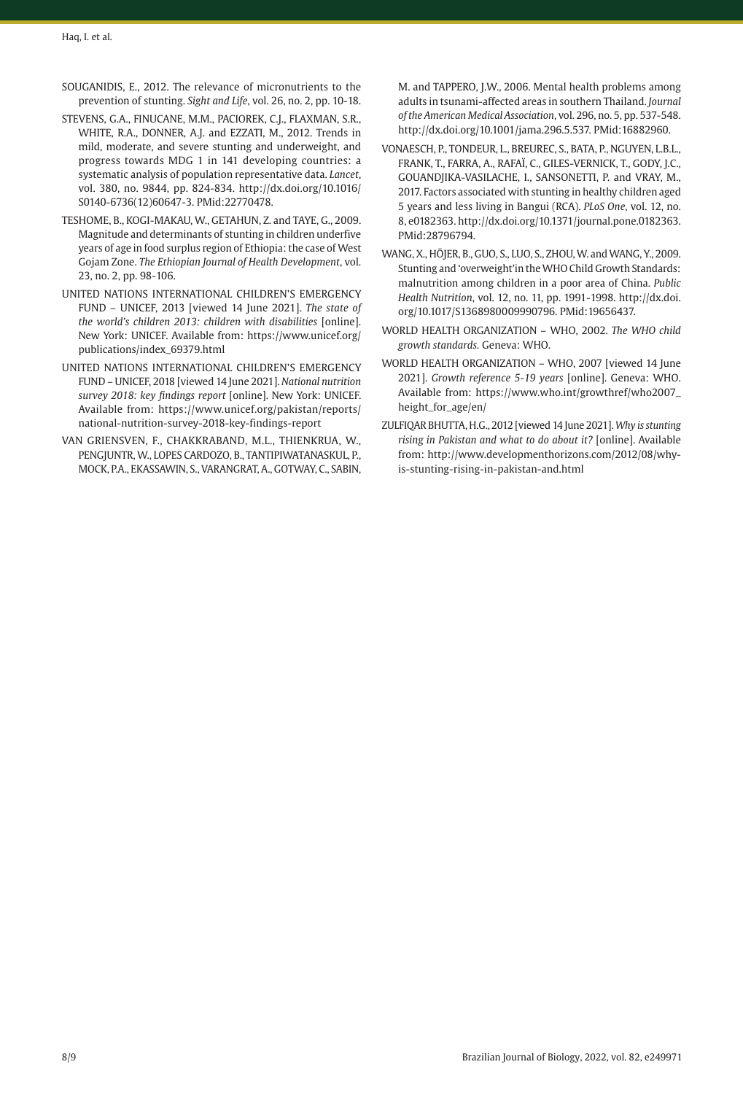- SOUGANIDIS, E., 2012. The relevance of micronutrients to the prevention of stunting. *Sight and Life*, vol. 26, no. 2, pp. 10-18.
- STEVENS, G.A., FINUCANE, M.M., PACIOREK, C.J., FLAXMAN, S.R., WHITE, R.A., DONNER, A.J. and EZZATI, M., 2012. Trends in mild, moderate, and severe stunting and underweight, and progress towards MDG 1 in 141 developing countries: a systematic analysis of population representative data. *Lancet*, vol. 380, no. 9844, pp. 824-834. [http://dx.doi.org/10.1016/](https://doi.org/10.1016/S0140-6736(12)60647-3) [S0140-6736\(12\)60647-3](https://doi.org/10.1016/S0140-6736(12)60647-3)[. PMid:22770478.](https://www.ncbi.nlm.nih.gov/entrez/query.fcgi?cmd=Retrieve&db=PubMed&list_uids=22770478&dopt=Abstract)
- TESHOME, B., KOGI-MAKAU, W., GETAHUN, Z. and TAYE, G., 2009. Magnitude and determinants of stunting in children underfive years of age in food surplus region of Ethiopia: the case of West Gojam Zone. *The Ethiopian Journal of Health Development*, vol. 23, no. 2, pp. 98-106.
- UNITED NATIONS INTERNATIONAL CHILDREN'S EMERGENCY FUND – UNICEF, 2013 [viewed 14 June 2021]. *The state of the world's children 2013: children with disabilities* [online]. New York: UNICEF. Available from: https://www.unicef.org/ publications/index\_69379.html
- UNITED NATIONS INTERNATIONAL CHILDREN'S EMERGENCY FUND – UNICEF, 2018 [viewed 14 June 2021]. *National nutrition survey 2018: key findings report* [online]. New York: UNICEF. Available from: https://www.unicef.org/pakistan/reports/ national-nutrition-survey-2018-key-findings-report
- VAN GRIENSVEN, F., CHAKKRABAND, M.L., THIENKRUA, W., PENGJUNTR, W., LOPES CARDOZO, B., TANTIPIWATANASKUL, P., MOCK, P.A., EKASSAWIN, S., VARANGRAT, A., GOTWAY, C., SABIN,

M. and TAPPERO, J.W., 2006. Mental health problems among adults in tsunami-affected areas in southern Thailand. *Journal of the American Medical Association*, vol. 296, no. 5, pp. 537-548. [http://dx.doi.org/10.1001/jama.296.5.537](https://doi.org/10.1001/jama.296.5.537)[. PMid:16882960.](https://www.ncbi.nlm.nih.gov/entrez/query.fcgi?cmd=Retrieve&db=PubMed&list_uids=16882960&dopt=Abstract)

- VONAESCH, P., TONDEUR, L., BREUREC, S., BATA, P., NGUYEN, L.B.L., FRANK, T., FARRA, A., RAFAÏ, C., GILES-VERNICK, T., GODY, J.C., GOUANDJIKA-VASILACHE, I., SANSONETTI, P. and VRAY, M., 2017. Factors associated with stunting in healthy children aged 5 years and less living in Bangui (RCA). *PLoS One*, vol. 12, no. 8, e0182363. [http://dx.doi.org/10.1371/journal.pone.0182363](https://doi.org/10.1371/journal.pone.0182363). [PMid:28796794.](https://www.ncbi.nlm.nih.gov/entrez/query.fcgi?cmd=Retrieve&db=PubMed&list_uids=28796794&dopt=Abstract)
- WANG, X., HÖJER, B., GUO, S., LUO, S., ZHOU, W. and WANG, Y., 2009. Stunting and 'overweight'in the WHO Child Growth Standards: malnutrition among children in a poor area of China. *Public Health Nutrition*, vol. 12, no. 11, pp. 1991-1998. [http://dx.doi.](https://doi.org/10.1017/S1368980009990796) [org/10.1017/S1368980009990796](https://doi.org/10.1017/S1368980009990796). [PMid:19656437.](https://www.ncbi.nlm.nih.gov/entrez/query.fcgi?cmd=Retrieve&db=PubMed&list_uids=19656437&dopt=Abstract)
- WORLD HEALTH ORGANIZATION WHO, 2002. *The WHO child growth standards.* Geneva: WHO.
- WORLD HEALTH ORGANIZATION WHO, 2007 [viewed 14 June 2021]. *Growth reference 5-19 years* [online]. Geneva: WHO. Available from: https://www.who.int/growthref/who2007\_ height\_for\_age/en/
- ZULFIQAR BHUTTA, H.G., 2012 [viewed 14 June 2021]. *Why is stunting rising in Pakistan and what to do about it?* [online]. Available from: http://www.developmenthorizons.com/2012/08/whyis-stunting-rising-in-pakistan-and.html